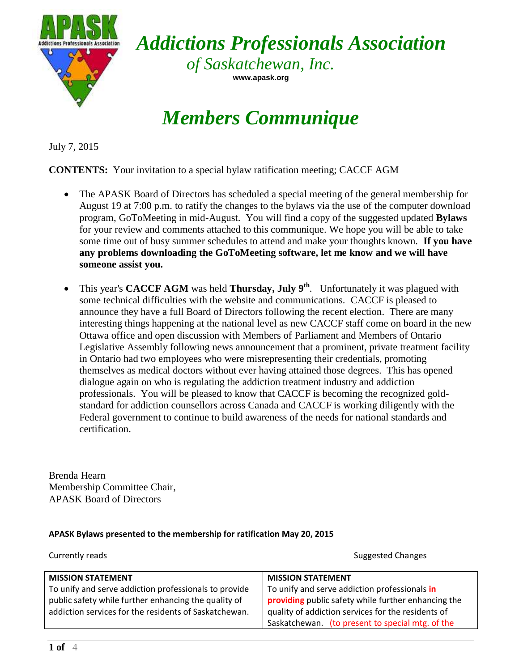

*Addictions Professionals Association of Saskatchewan, Inc.*

**www.apask.org**

## *Members Communique*

July 7, 2015

**CONTENTS:** Your invitation to a special bylaw ratification meeting; CACCF AGM

- The APASK Board of Directors has scheduled a special meeting of the general membership for August 19 at 7:00 p.m. to ratify the changes to the bylaws via the use of the computer download program, GoToMeeting in mid-August. You will find a copy of the suggested updated **Bylaws** for your review and comments attached to this communique. We hope you will be able to take some time out of busy summer schedules to attend and make your thoughts known. **If you have any problems downloading the GoToMeeting software, let me know and we will have someone assist you.**
- This year's **CACCF AGM** was held **Thursday, July 9<sup>th</sup>**. Unfortunately it was plagued with some technical difficulties with the website and communications. CACCF is pleased to announce they have a full Board of Directors following the recent election. There are many interesting things happening at the national level as new CACCF staff come on board in the new Ottawa office and open discussion with Members of Parliament and Members of Ontario Legislative Assembly following news announcement that a prominent, private treatment facility in Ontario had two employees who were misrepresenting their credentials, promoting themselves as medical doctors without ever having attained those degrees. This has opened dialogue again on who is regulating the addiction treatment industry and addiction professionals. You will be pleased to know that CACCF is becoming the recognized goldstandard for addiction counsellors across Canada and CACCF is working diligently with the Federal government to continue to build awareness of the needs for national standards and certification.

Brenda Hearn Membership Committee Chair, APASK Board of Directors

## **APASK Bylaws presented to the membership for ratification May 20, 2015**

Currently reads **Support Currently reads** Suggested Changes **MISSION STATEMENT** To unify and serve addiction professionals to provide public safety while further enhancing the quality of addiction services for the residents of Saskatchewan. **MISSION STATEMENT** To unify and serve addiction professionals **in providing** public safety while further enhancing the quality of addiction services for the residents of Saskatchewan. (to present to special mtg. of the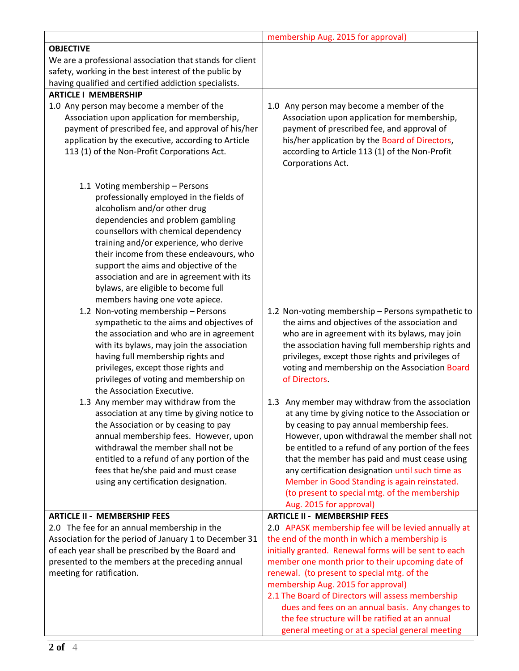|                                                                                                                                                                                                                                                                                                                                                                                                                                                                                                                                                                                                                                                                                                        | membership Aug. 2015 for approval)                                                                                                                                                                                                                                                                                                                                                                                                      |
|--------------------------------------------------------------------------------------------------------------------------------------------------------------------------------------------------------------------------------------------------------------------------------------------------------------------------------------------------------------------------------------------------------------------------------------------------------------------------------------------------------------------------------------------------------------------------------------------------------------------------------------------------------------------------------------------------------|-----------------------------------------------------------------------------------------------------------------------------------------------------------------------------------------------------------------------------------------------------------------------------------------------------------------------------------------------------------------------------------------------------------------------------------------|
| <b>OBJECTIVE</b>                                                                                                                                                                                                                                                                                                                                                                                                                                                                                                                                                                                                                                                                                       |                                                                                                                                                                                                                                                                                                                                                                                                                                         |
| We are a professional association that stands for client                                                                                                                                                                                                                                                                                                                                                                                                                                                                                                                                                                                                                                               |                                                                                                                                                                                                                                                                                                                                                                                                                                         |
| safety, working in the best interest of the public by                                                                                                                                                                                                                                                                                                                                                                                                                                                                                                                                                                                                                                                  |                                                                                                                                                                                                                                                                                                                                                                                                                                         |
| having qualified and certified addiction specialists.                                                                                                                                                                                                                                                                                                                                                                                                                                                                                                                                                                                                                                                  |                                                                                                                                                                                                                                                                                                                                                                                                                                         |
| <b>ARTICLE I MEMBERSHIP</b>                                                                                                                                                                                                                                                                                                                                                                                                                                                                                                                                                                                                                                                                            |                                                                                                                                                                                                                                                                                                                                                                                                                                         |
| 1.0 Any person may become a member of the                                                                                                                                                                                                                                                                                                                                                                                                                                                                                                                                                                                                                                                              | 1.0 Any person may become a member of the                                                                                                                                                                                                                                                                                                                                                                                               |
| Association upon application for membership,                                                                                                                                                                                                                                                                                                                                                                                                                                                                                                                                                                                                                                                           | Association upon application for membership,                                                                                                                                                                                                                                                                                                                                                                                            |
| payment of prescribed fee, and approval of his/her                                                                                                                                                                                                                                                                                                                                                                                                                                                                                                                                                                                                                                                     | payment of prescribed fee, and approval of                                                                                                                                                                                                                                                                                                                                                                                              |
| application by the executive, according to Article                                                                                                                                                                                                                                                                                                                                                                                                                                                                                                                                                                                                                                                     | his/her application by the Board of Directors,                                                                                                                                                                                                                                                                                                                                                                                          |
| 113 (1) of the Non-Profit Corporations Act.                                                                                                                                                                                                                                                                                                                                                                                                                                                                                                                                                                                                                                                            | according to Article 113 (1) of the Non-Profit                                                                                                                                                                                                                                                                                                                                                                                          |
|                                                                                                                                                                                                                                                                                                                                                                                                                                                                                                                                                                                                                                                                                                        | Corporations Act.                                                                                                                                                                                                                                                                                                                                                                                                                       |
| 1.1 Voting membership - Persons<br>professionally employed in the fields of<br>alcoholism and/or other drug<br>dependencies and problem gambling<br>counsellors with chemical dependency<br>training and/or experience, who derive<br>their income from these endeavours, who<br>support the aims and objective of the<br>association and are in agreement with its<br>bylaws, are eligible to become full<br>members having one vote apiece.<br>1.2 Non-voting membership - Persons<br>sympathetic to the aims and objectives of<br>the association and who are in agreement<br>with its bylaws, may join the association<br>having full membership rights and<br>privileges, except those rights and | 1.2 Non-voting membership - Persons sympathetic to<br>the aims and objectives of the association and<br>who are in agreement with its bylaws, may join<br>the association having full membership rights and<br>privileges, except those rights and privileges of<br>voting and membership on the Association Board                                                                                                                      |
| privileges of voting and membership on<br>the Association Executive.                                                                                                                                                                                                                                                                                                                                                                                                                                                                                                                                                                                                                                   | of Directors                                                                                                                                                                                                                                                                                                                                                                                                                            |
| 1.3 Any member may withdraw from the                                                                                                                                                                                                                                                                                                                                                                                                                                                                                                                                                                                                                                                                   | 1.3 Any member may withdraw from the association                                                                                                                                                                                                                                                                                                                                                                                        |
| association at any time by giving notice to<br>the Association or by ceasing to pay<br>annual membership fees. However, upon<br>withdrawal the member shall not be<br>entitled to a refund of any portion of the<br>fees that he/she paid and must cease<br>using any certification designation.                                                                                                                                                                                                                                                                                                                                                                                                       | at any time by giving notice to the Association or<br>by ceasing to pay annual membership fees.<br>However, upon withdrawal the member shall not<br>be entitled to a refund of any portion of the fees<br>that the member has paid and must cease using<br>any certification designation until such time as<br>Member in Good Standing is again reinstated.<br>(to present to special mtg. of the membership<br>Aug. 2015 for approval) |
| <b>ARTICLE II - MEMBERSHIP FEES</b>                                                                                                                                                                                                                                                                                                                                                                                                                                                                                                                                                                                                                                                                    | <b>ARTICLE II - MEMBERSHIP FEES</b>                                                                                                                                                                                                                                                                                                                                                                                                     |
| 2.0 The fee for an annual membership in the                                                                                                                                                                                                                                                                                                                                                                                                                                                                                                                                                                                                                                                            | 2.0 APASK membership fee will be levied annually at                                                                                                                                                                                                                                                                                                                                                                                     |
| Association for the period of January 1 to December 31                                                                                                                                                                                                                                                                                                                                                                                                                                                                                                                                                                                                                                                 | the end of the month in which a membership is                                                                                                                                                                                                                                                                                                                                                                                           |
| of each year shall be prescribed by the Board and                                                                                                                                                                                                                                                                                                                                                                                                                                                                                                                                                                                                                                                      | initially granted. Renewal forms will be sent to each                                                                                                                                                                                                                                                                                                                                                                                   |
| presented to the members at the preceding annual                                                                                                                                                                                                                                                                                                                                                                                                                                                                                                                                                                                                                                                       | member one month prior to their upcoming date of                                                                                                                                                                                                                                                                                                                                                                                        |
| meeting for ratification.                                                                                                                                                                                                                                                                                                                                                                                                                                                                                                                                                                                                                                                                              | renewal. (to present to special mtg. of the<br>membership Aug. 2015 for approval)                                                                                                                                                                                                                                                                                                                                                       |
|                                                                                                                                                                                                                                                                                                                                                                                                                                                                                                                                                                                                                                                                                                        | 2.1 The Board of Directors will assess membership                                                                                                                                                                                                                                                                                                                                                                                       |
|                                                                                                                                                                                                                                                                                                                                                                                                                                                                                                                                                                                                                                                                                                        | dues and fees on an annual basis. Any changes to                                                                                                                                                                                                                                                                                                                                                                                        |
|                                                                                                                                                                                                                                                                                                                                                                                                                                                                                                                                                                                                                                                                                                        | the fee structure will be ratified at an annual                                                                                                                                                                                                                                                                                                                                                                                         |
|                                                                                                                                                                                                                                                                                                                                                                                                                                                                                                                                                                                                                                                                                                        | general meeting or at a special general meeting                                                                                                                                                                                                                                                                                                                                                                                         |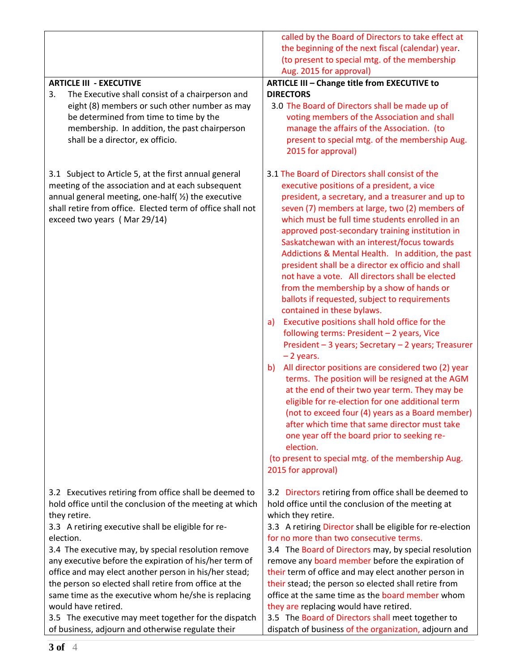|                                                                                   | called by the Board of Directors to take effect at                                           |
|-----------------------------------------------------------------------------------|----------------------------------------------------------------------------------------------|
|                                                                                   | the beginning of the next fiscal (calendar) year.                                            |
|                                                                                   | (to present to special mtg. of the membership                                                |
|                                                                                   | Aug. 2015 for approval)                                                                      |
| <b>ARTICLE III - EXECUTIVE</b>                                                    | ARTICLE III - Change title from EXECUTIVE to                                                 |
| The Executive shall consist of a chairperson and<br>3.                            | <b>DIRECTORS</b>                                                                             |
| eight (8) members or such other number as may                                     | 3.0 The Board of Directors shall be made up of                                               |
| be determined from time to time by the                                            | voting members of the Association and shall                                                  |
| membership. In addition, the past chairperson<br>shall be a director, ex officio. | manage the affairs of the Association. (to<br>present to special mtg. of the membership Aug. |
|                                                                                   | 2015 for approval)                                                                           |
|                                                                                   |                                                                                              |
| 3.1 Subject to Article 5, at the first annual general                             | 3.1 The Board of Directors shall consist of the                                              |
| meeting of the association and at each subsequent                                 | executive positions of a president, a vice                                                   |
| annual general meeting, one-half( $\frac{1}{2}$ ) the executive                   | president, a secretary, and a treasurer and up to                                            |
| shall retire from office. Elected term of office shall not                        | seven (7) members at large, two (2) members of                                               |
| exceed two years (Mar 29/14)                                                      | which must be full time students enrolled in an                                              |
|                                                                                   | approved post-secondary training institution in                                              |
|                                                                                   | Saskatchewan with an interest/focus towards                                                  |
|                                                                                   | Addictions & Mental Health. In addition, the past                                            |
|                                                                                   | president shall be a director ex officio and shall                                           |
|                                                                                   | not have a vote. All directors shall be elected<br>from the membership by a show of hands or |
|                                                                                   | ballots if requested, subject to requirements                                                |
|                                                                                   | contained in these bylaws.                                                                   |
|                                                                                   | Executive positions shall hold office for the<br>a)                                          |
|                                                                                   | following terms: President - 2 years, Vice                                                   |
|                                                                                   | President - 3 years; Secretary - 2 years; Treasurer                                          |
|                                                                                   | $-2$ years.                                                                                  |
|                                                                                   | All director positions are considered two (2) year<br>b)                                     |
|                                                                                   | terms. The position will be resigned at the AGM                                              |
|                                                                                   | at the end of their two year term. They may be                                               |
|                                                                                   | eligible for re-election for one additional term                                             |
|                                                                                   | (not to exceed four (4) years as a Board member)                                             |
|                                                                                   | after which time that same director must take                                                |
|                                                                                   | one year off the board prior to seeking re-<br>election.                                     |
|                                                                                   | (to present to special mtg. of the membership Aug.                                           |
|                                                                                   | 2015 for approval)                                                                           |
|                                                                                   |                                                                                              |
| 3.2 Executives retiring from office shall be deemed to                            | 3.2 Directors retiring from office shall be deemed to                                        |
| hold office until the conclusion of the meeting at which                          | hold office until the conclusion of the meeting at                                           |
| they retire.                                                                      | which they retire.                                                                           |
| 3.3 A retiring executive shall be eligible for re-                                | 3.3 A retiring Director shall be eligible for re-election                                    |
| election.                                                                         | for no more than two consecutive terms.                                                      |
| 3.4 The executive may, by special resolution remove                               | 3.4 The Board of Directors may, by special resolution                                        |
| any executive before the expiration of his/her term of                            | remove any board member before the expiration of                                             |
| office and may elect another person in his/her stead;                             | their term of office and may elect another person in                                         |
| the person so elected shall retire from office at the                             | their stead; the person so elected shall retire from                                         |
| same time as the executive whom he/she is replacing<br>would have retired.        | office at the same time as the board member whom<br>they are replacing would have retired.   |
| 3.5 The executive may meet together for the dispatch                              | 3.5 The Board of Directors shall meet together to                                            |
| of business, adjourn and otherwise regulate their                                 | dispatch of business of the organization, adjourn and                                        |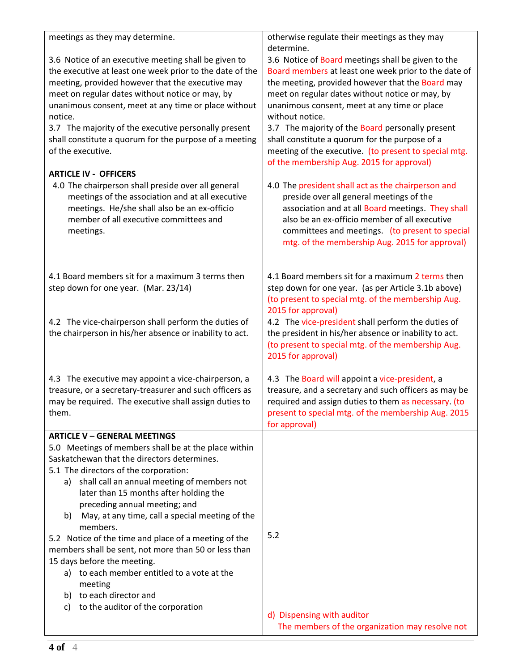| meetings as they may determine.                          | otherwise regulate their meetings as they may         |
|----------------------------------------------------------|-------------------------------------------------------|
|                                                          |                                                       |
|                                                          | determine.                                            |
| 3.6 Notice of an executive meeting shall be given to     | 3.6 Notice of Board meetings shall be given to the    |
| the executive at least one week prior to the date of the | Board members at least one week prior to the date of  |
| meeting, provided however that the executive may         | the meeting, provided however that the Board may      |
| meet on regular dates without notice or may, by          | meet on regular dates without notice or may, by       |
| unanimous consent, meet at any time or place without     | unanimous consent, meet at any time or place          |
| notice.                                                  | without notice.                                       |
| 3.7 The majority of the executive personally present     | 3.7 The majority of the Board personally present      |
| shall constitute a quorum for the purpose of a meeting   | shall constitute a quorum for the purpose of a        |
| of the executive.                                        | meeting of the executive. (to present to special mtg. |
|                                                          | of the membership Aug. 2015 for approval)             |
| <b>ARTICLE IV - OFFICERS</b>                             |                                                       |
|                                                          |                                                       |
| 4.0 The chairperson shall preside over all general       | 4.0 The president shall act as the chairperson and    |
| meetings of the association and at all executive         | preside over all general meetings of the              |
| meetings. He/she shall also be an ex-officio             | association and at all Board meetings. They shall     |
| member of all executive committees and                   | also be an ex-officio member of all executive         |
| meetings.                                                | committees and meetings. (to present to special       |
|                                                          | mtg. of the membership Aug. 2015 for approval)        |
|                                                          |                                                       |
|                                                          |                                                       |
| 4.1 Board members sit for a maximum 3 terms then         | 4.1 Board members sit for a maximum 2 terms then      |
| step down for one year. (Mar. 23/14)                     | step down for one year. (as per Article 3.1b above)   |
|                                                          | (to present to special mtg. of the membership Aug.    |
|                                                          | 2015 for approval)                                    |
| 4.2 The vice-chairperson shall perform the duties of     | 4.2 The vice-president shall perform the duties of    |
| the chairperson in his/her absence or inability to act.  | the president in his/her absence or inability to act. |
|                                                          | (to present to special mtg. of the membership Aug.    |
|                                                          |                                                       |
|                                                          | 2015 for approval)                                    |
| 4.3 The executive may appoint a vice-chairperson, a      | 4.3 The Board will appoint a vice-president, a        |
|                                                          | treasure, and a secretary and such officers as may be |
| treasure, or a secretary-treasurer and such officers as  |                                                       |
| may be required. The executive shall assign duties to    | required and assign duties to them as necessary. (to  |
| them.                                                    | present to special mtg. of the membership Aug. 2015   |
|                                                          | for approval)                                         |
| <b>ARTICLE V - GENERAL MEETINGS</b>                      |                                                       |
| 5.0 Meetings of members shall be at the place within     |                                                       |
| Saskatchewan that the directors determines.              |                                                       |
| 5.1 The directors of the corporation:                    |                                                       |
| shall call an annual meeting of members not<br>a)        |                                                       |
| later than 15 months after holding the                   |                                                       |
| preceding annual meeting; and                            |                                                       |
| May, at any time, call a special meeting of the<br>b)    |                                                       |
| members.                                                 |                                                       |
| 5.2 Notice of the time and place of a meeting of the     | 5.2                                                   |
| members shall be sent, not more than 50 or less than     |                                                       |
| 15 days before the meeting.                              |                                                       |
| a) to each member entitled to a vote at the              |                                                       |
| meeting                                                  |                                                       |
| b) to each director and                                  |                                                       |
| to the auditor of the corporation<br>C)                  |                                                       |
|                                                          | d) Dispensing with auditor                            |
|                                                          | The members of the organization may resolve not       |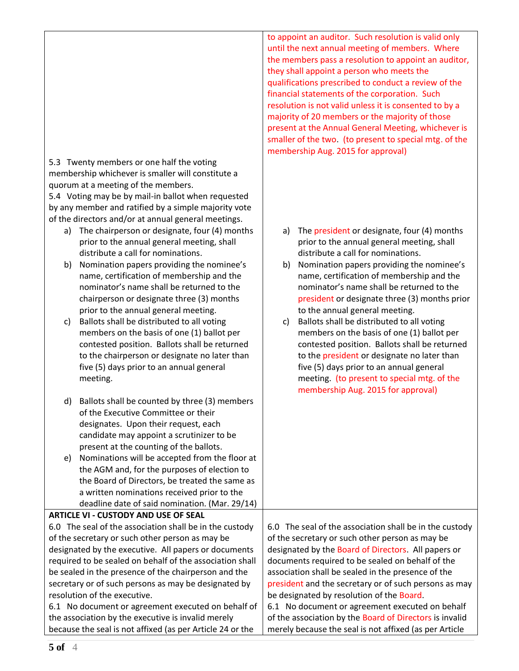|                                                                                  | they shall appoint a person who meets the<br>qualifications prescribed to conduct a review of the<br>financial statements of the corporation. Such<br>resolution is not valid unless it is consented to by a<br>majority of 20 members or the majority of those<br>present at the Annual General Meeting, whichever is<br>smaller of the two. (to present to special mtg. of the<br>membership Aug. 2015 for approval) |
|----------------------------------------------------------------------------------|------------------------------------------------------------------------------------------------------------------------------------------------------------------------------------------------------------------------------------------------------------------------------------------------------------------------------------------------------------------------------------------------------------------------|
| 5.3 Twenty members or one half the voting                                        |                                                                                                                                                                                                                                                                                                                                                                                                                        |
| membership whichever is smaller will constitute a                                |                                                                                                                                                                                                                                                                                                                                                                                                                        |
| quorum at a meeting of the members.                                              |                                                                                                                                                                                                                                                                                                                                                                                                                        |
| 5.4 Voting may be by mail-in ballot when requested                               |                                                                                                                                                                                                                                                                                                                                                                                                                        |
| by any member and ratified by a simple majority vote                             |                                                                                                                                                                                                                                                                                                                                                                                                                        |
| of the directors and/or at annual general meetings.                              |                                                                                                                                                                                                                                                                                                                                                                                                                        |
| The chairperson or designate, four (4) months<br>a)                              | The president or designate, four (4) months<br>a)                                                                                                                                                                                                                                                                                                                                                                      |
| prior to the annual general meeting, shall<br>distribute a call for nominations. | prior to the annual general meeting, shall<br>distribute a call for nominations.                                                                                                                                                                                                                                                                                                                                       |
| Nomination papers providing the nominee's<br>b)                                  | Nomination papers providing the nominee's<br>b)                                                                                                                                                                                                                                                                                                                                                                        |
| name, certification of membership and the                                        | name, certification of membership and the                                                                                                                                                                                                                                                                                                                                                                              |
| nominator's name shall be returned to the                                        | nominator's name shall be returned to the                                                                                                                                                                                                                                                                                                                                                                              |
| chairperson or designate three (3) months                                        | president or designate three (3) months prior                                                                                                                                                                                                                                                                                                                                                                          |
| prior to the annual general meeting.                                             | to the annual general meeting.                                                                                                                                                                                                                                                                                                                                                                                         |
| Ballots shall be distributed to all voting<br>c)                                 | Ballots shall be distributed to all voting<br>C)                                                                                                                                                                                                                                                                                                                                                                       |
| members on the basis of one (1) ballot per                                       | members on the basis of one (1) ballot per                                                                                                                                                                                                                                                                                                                                                                             |
| contested position. Ballots shall be returned                                    | contested position. Ballots shall be returned                                                                                                                                                                                                                                                                                                                                                                          |
| to the chairperson or designate no later than                                    | to the president or designate no later than                                                                                                                                                                                                                                                                                                                                                                            |
| five (5) days prior to an annual general                                         | five (5) days prior to an annual general                                                                                                                                                                                                                                                                                                                                                                               |
| meeting.                                                                         | meeting. (to present to special mtg. of the                                                                                                                                                                                                                                                                                                                                                                            |
|                                                                                  | membership Aug. 2015 for approval)                                                                                                                                                                                                                                                                                                                                                                                     |
| Ballots shall be counted by three (3) members<br>d)                              |                                                                                                                                                                                                                                                                                                                                                                                                                        |
| of the Executive Committee or their                                              |                                                                                                                                                                                                                                                                                                                                                                                                                        |
| designates. Upon their request, each                                             |                                                                                                                                                                                                                                                                                                                                                                                                                        |
| candidate may appoint a scrutinizer to be                                        |                                                                                                                                                                                                                                                                                                                                                                                                                        |
| present at the counting of the ballots.                                          |                                                                                                                                                                                                                                                                                                                                                                                                                        |
| Nominations will be accepted from the floor at<br>e)                             |                                                                                                                                                                                                                                                                                                                                                                                                                        |
| the AGM and, for the purposes of election to                                     |                                                                                                                                                                                                                                                                                                                                                                                                                        |
| the Board of Directors, be treated the same as                                   |                                                                                                                                                                                                                                                                                                                                                                                                                        |
| a written nominations received prior to the                                      |                                                                                                                                                                                                                                                                                                                                                                                                                        |
| deadline date of said nomination. (Mar. 29/14)                                   |                                                                                                                                                                                                                                                                                                                                                                                                                        |
| <b>ARTICLE VI - CUSTODY AND USE OF SEAL</b>                                      |                                                                                                                                                                                                                                                                                                                                                                                                                        |
| 6.0 The seal of the association shall be in the custody                          | 6.0 The seal of the association shall be in the custody                                                                                                                                                                                                                                                                                                                                                                |
| of the secretary or such other person as may be                                  | of the secretary or such other person as may be                                                                                                                                                                                                                                                                                                                                                                        |
| designated by the executive. All papers or documents                             | designated by the Board of Directors. All papers or                                                                                                                                                                                                                                                                                                                                                                    |
| required to be sealed on behalf of the association shall                         | documents required to be sealed on behalf of the                                                                                                                                                                                                                                                                                                                                                                       |
| be sealed in the presence of the chairperson and the                             | association shall be sealed in the presence of the                                                                                                                                                                                                                                                                                                                                                                     |
| secretary or of such persons as may be designated by                             | president and the secretary or of such persons as may                                                                                                                                                                                                                                                                                                                                                                  |
| resolution of the executive.                                                     | be designated by resolution of the Board.                                                                                                                                                                                                                                                                                                                                                                              |
| 6.1 No document or agreement executed on behalf of                               | 6.1 No document or agreement executed on behalf                                                                                                                                                                                                                                                                                                                                                                        |
| the association by the executive is invalid merely                               | of the association by the Board of Directors is invalid                                                                                                                                                                                                                                                                                                                                                                |
| because the seal is not affixed (as per Article 24 or the                        | merely because the seal is not affixed (as per Article                                                                                                                                                                                                                                                                                                                                                                 |

to appoint an auditor. Such resolution is valid only until the next annual meeting of members. Where the members pass a resolution to appoint an auditor,